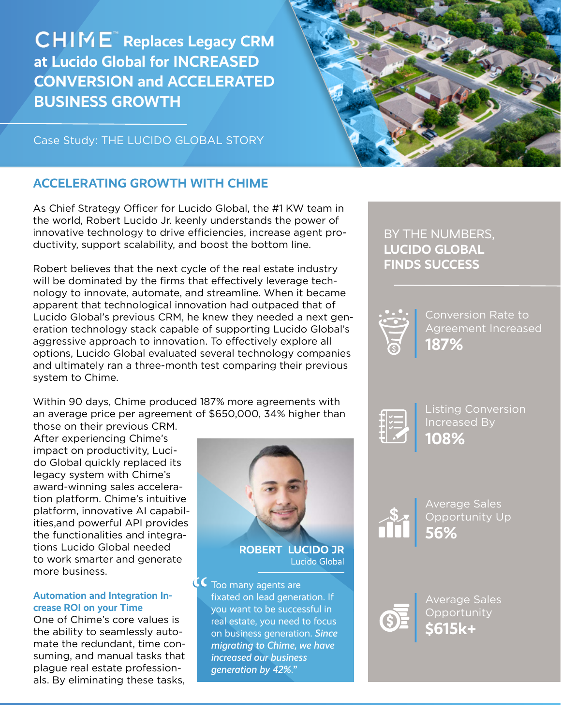**CHIME** Replaces Legacy CRM **at Lucido Global for INCREASED CONVERSION and ACCELERATED BUSINESS GROWTH**



Case Study: THE LUCIDO GLOBAL STORY

# **ACCELERATING GROWTH WITH CHIME**

As Chief Strategy Officer for Lucido Global, the #1 KW team in the world, Robert Lucido Jr. keenly understands the power of innovative technology to drive efficiencies, increase agent productivity, support scalability, and boost the bottom line.

Robert believes that the next cycle of the real estate industry will be dominated by the firms that effectively leverage technology to innovate, automate, and streamline. When it became apparent that technological innovation had outpaced that of Lucido Global's previous CRM, he knew they needed a next generation technology stack capable of supporting Lucido Global's aggressive approach to innovation. To effectively explore all options, Lucido Global evaluated several technology companies and ultimately ran a three-month test comparing their previous system to Chime.

Within 90 days, Chime produced 187% more agreements with an average price per agreement of \$650,000, 34% higher than those on their previous CRM.

After experiencing Chime's impact on productivity, Lucido Global quickly replaced its legacy system with Chime's award-winning sales acceleration platform. Chime's intuitive platform, innovative AI capabilities,and powerful API provides the functionalities and integrations Lucido Global needed to work smarter and generate more business.

## **Automation and Integration Increase ROI on your Time**

One of Chime's core values is the ability to seamlessly automate the redundant, time consuming, and manual tasks that plague real estate professionals. By eliminating these tasks,



Lucido Global

CC Too many agents are<br>fixated on lead genera<br>you want to be succes fixated on lead generation. If you want to be successful in real estate, you need to focus on business generation. *Since migrating to Chime, we have increased our business generation by 42%*.**"**

# BY THE NUMBERS, **LUCIDO GLOBAL FINDS SUCCESS**



**187%** Conversion Rate to Agreement Increased



**108%** Listing Conversion Increased By



**56%** Average Sales Opportunity Up



**\$615k+** Average Sales Opportunity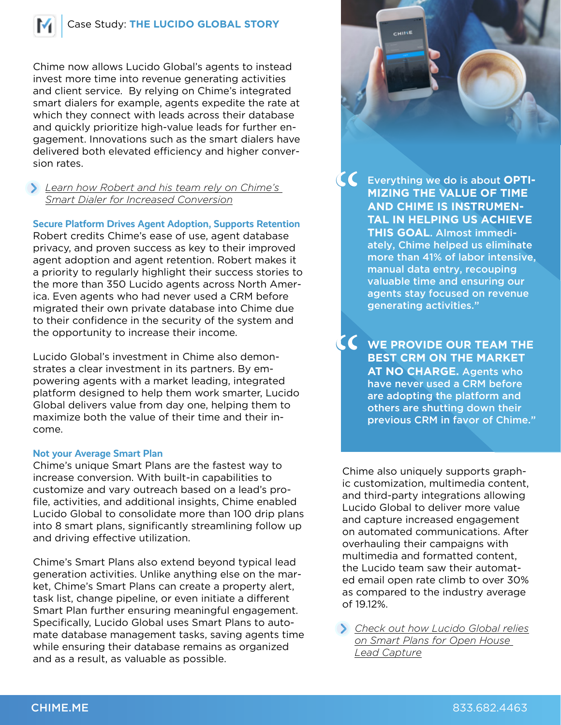

Chime now allows Lucido Global's agents to instead invest more time into revenue generating activities and client service. By relying on Chime's integrated smart dialers for example, agents expedite the rate at which they connect with leads across their database and quickly prioritize high-value leads for further engagement. Innovations such as the smart dialers have delivered both elevated efficiency and higher conversion rates.

## *Learn how Robert and his team rely on Chime's Smart Dialer for Increased Conversion*

**Secure Platform Drives Agent Adoption, Supports Retention** Robert credits Chime's ease of use, agent database privacy, and proven success as key to their improved agent adoption and agent retention. Robert makes it a priority to regularly highlight their success stories to the more than 350 Lucido agents across North America. Even agents who had never used a CRM before migrated their own private database into Chime due to their confidence in the security of the system and the opportunity to increase their income.

Lucido Global's investment in Chime also demonstrates a clear investment in its partners. By empowering agents with a market leading, integrated platform designed to help them work smarter, Lucido Global delivers value from day one, helping them to maximize both the value of their time and their income.

#### **Not your Average Smart Plan**

Chime's unique Smart Plans are the fastest way to increase conversion. With built-in capabilities to customize and vary outreach based on a lead's profile, activities, and additional insights, Chime enabled Lucido Global to consolidate more than 100 drip plans into 8 smart plans, significantly streamlining follow up and driving effective utilization.

Chime's Smart Plans also extend beyond typical lead generation activities. Unlike anything else on the market, Chime's Smart Plans can create a property alert, task list, change pipeline, or even initiate a different Smart Plan further ensuring meaningful engagement. Specifically, Lucido Global uses Smart Plans to automate database management tasks, saving agents time while ensuring their database remains as organized and as a result, as valuable as possible.

Everything we do is about **OPTI-MIZING THE VALUE OF TIME AND CHIME IS INSTRUMEN-TAL IN HELPING US ACHIEVE THIS GOAL**. Almost immediately, Chime helped us eliminate more than 41% of labor intensive, manual data entry, recouping valuable time and ensuring our agents stay focused on revenue generating activities."

 $CH115E$ 

 $\frac{1}{\sqrt{2}}$ EC<br>"

**EXECUTE OUR TEAM THE<br>
BEST CRM ON THE MARKET<br>
AT NO CHARGE.** Agents who<br>
have never used a CRM before<br>
are adopting the platform and **BEST CRM ON THE MARKET AT NO CHARGE.** Agents who have never used a CRM before are adopting the platform and others are shutting down their previous CRM in favor of Chime."

Chime also uniquely supports graphic customization, multimedia content, and third-party integrations allowing Lucido Global to deliver more value and capture increased engagement on automated communications. After overhauling their campaigns with multimedia and formatted content, the Lucido team saw their automated email open rate climb to over 30% as compared to the industry average of 19.12%.

*Check out how Lucido Global relies on Smart Plans for Open House Lead Capture*